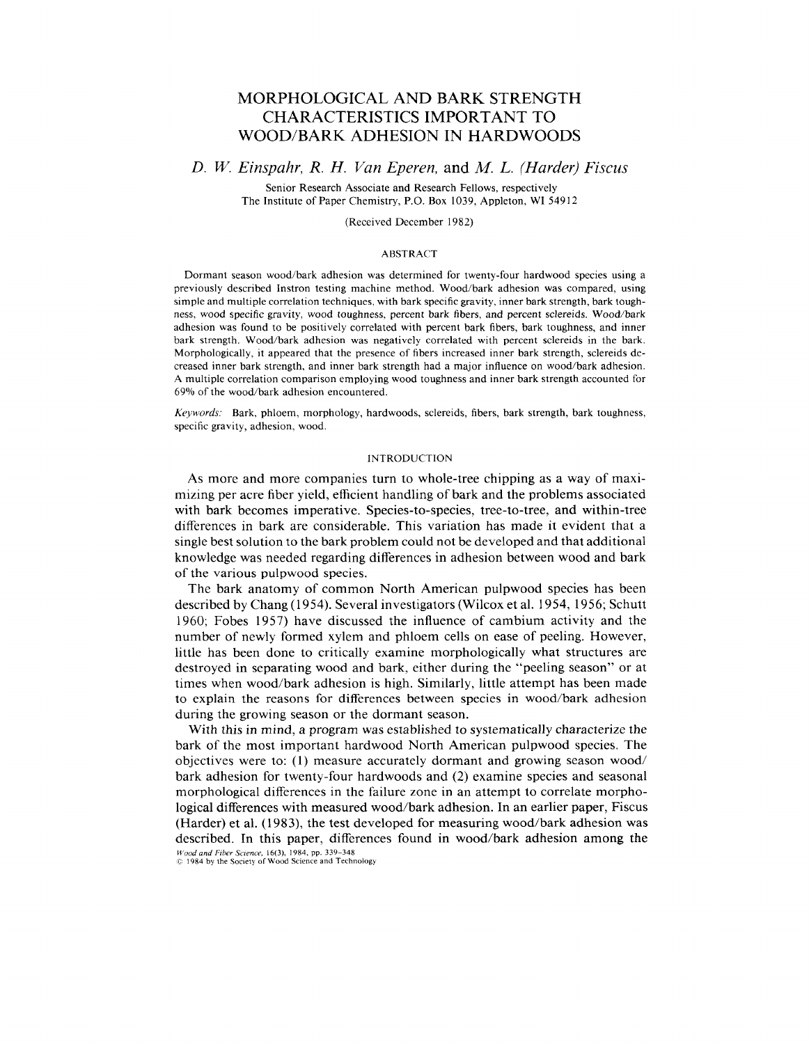# MORPHOLOGICAL AND BARK STRENGTH CHARACTERISTICS IMPORTANT TO WOOD/BARK ADHESION IN HARDWOODS

# *D. W. Einspahr, R. H. Van Eperen,* and *M. L. (Harder) Fiscus*

Senior Research Associate and Research Fellows, respectively The Institute of Paper Chemistry, P.O. Box 1039, Appleton, WI 54912

# (Received December 1982)

### ABSTRACT

Dormant season wood/bark adhesion was determined for twenty-four hardwood species using a previously described Instron testing machine method. Wood/bark adhesion was compared, using simple and multiple correlation techniques, with bark specific gravity. inner bark strength, bark toughness, wood specific gravity, wood toughness, percent bark fibers, and percent sclereids. Wood/bark adhesion was found to be positively correlated with percent bark fibers, bark toughness, and inner bark strength. Wood/bark adhesion was negatively correlated with percent sclereids in the bark. Morphologically, it appeared that the presence of fibers increased inner bark strength, sclereids decreased inner bark strength, and inner bark strength had a major influence on wood/bark adhesion. A multiple correlation comparison employing wood toughness and inner bark strength accounted for 69% of the wood/bark adhesion encountered.

Keywords: Bark. phloem, morphology, hardwoods, sclereids, fibers, bark strength, bark toughness, specific gravity, adhesion, wood.

### INTRODUCTION

As more and more companies turn to whole-tree chipping as a way of maximizing per acre fiber yield, efficient handling of bark and the problems associated with bark becomes imperative. Species-to-species, tree-to-tree, and within-tree differences in bark are considerable. This variation has made it evident that a single best solution to the bark problem could not be developed and that additional knowledge was needed regarding differences in adhesion between wood and bark of the various pulpwood species.

The bark anatomy of common North American pulpwood species has been described by Chang (1954). Several investigators (Wilcox et al. 1954, 1956; Schutt 1960; Fobes 1957) have discussed the influence of cambium activity and the number of newly formed xylem and phloem cells on ease of peeling. However, little has been done to critically examine morphologically what structures are destroyed in separating wood and bark, either during the "peeling season" or at times when wood/bark adhesion is high. Similarly, little attempt has been made to explain the reasons for differences between species in wood/bark adhesion during the growing season or the dormant season.

With this in mind, a program was established to systematically characterize the bark of the most important hardwood North American pulpwood species. The objectives were to: (1) measure accurately dormant and growing season wood/ bark adhesion for twenty-four hardwoods and (2) examine species and seasonal morphological differences in the failure zone in an attempt to correlate morphological differences with measured wood/bark adhesion. In an earlier paper, Fiscus (Harder) et al. (1 **983),** the test developed for measuring wood/bark adhesion was described. In this paper, differences found in wood/bark adhesion among the Wood and Fiber Science, 16(3), 1984, pp. 339–348<br>© 1984 by the Society of Wood Science and Technology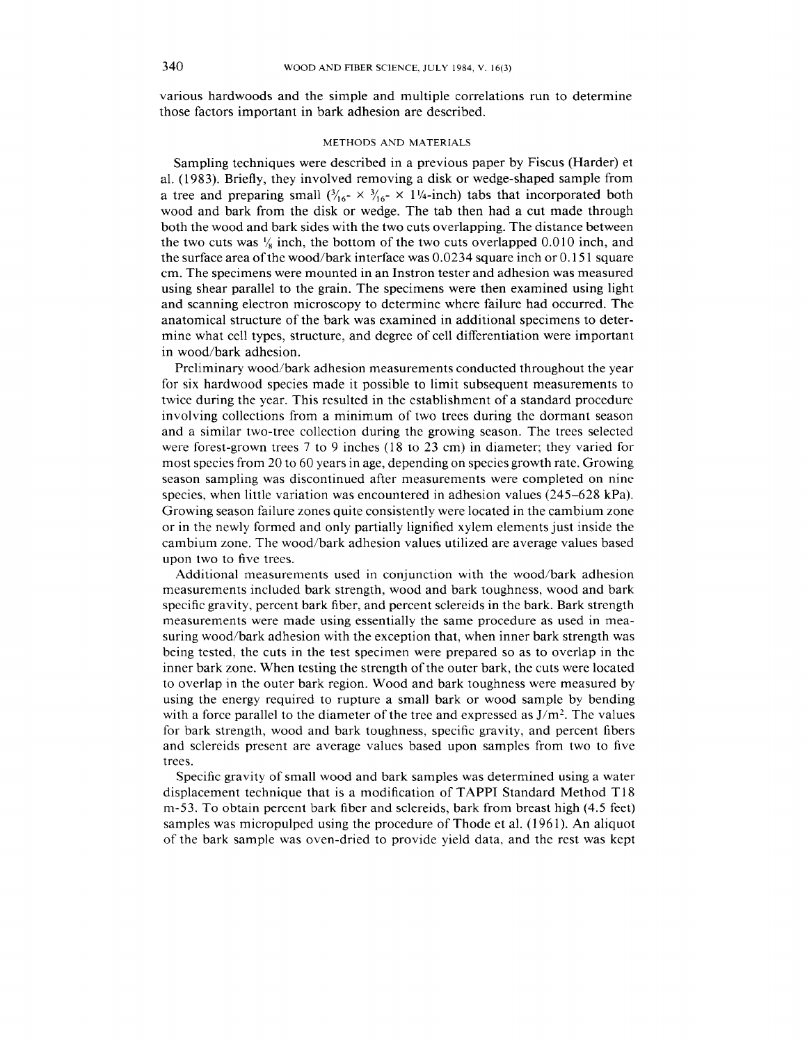various hardwoods and the simple and multiple correlations run to determine those factors important in bark adhesion are described.

#### METHODS AND MATERIALS

Sampling techniques were described in a previous paper by Fiscus (Harder) et al. (1983). Briefly, they involved removing a disk or wedge-shaped sample from a tree and preparing small  $(\frac{3}{16} \times \frac{3}{16} \times 1\frac{1}{4} \cdot \text{inch})$  tabs that incorporated both wood and bark from the disk or wedge. The tab then had a cut made through both the wood and bark sides with the two cuts overlapping. The distance between the two cuts was  $\frac{1}{2}$  inch, the bottom of the two cuts overlapped 0.010 inch, and the surface area of the wood/bark interface was 0.0234 square inch or 0.15 1 square cm. The specimens were mounted in an Instron tester and adhesion was measured using shear parallel to the grain. The specimens were then examined using light and scanning electron microscopy to determine where failure had occurred. The anatomical structure of the bark was examined in additional specimens to determine what cell types, structure, and degree of cell differentiation were important in wood/bark adhesion.

Preliminary wood/bark adhesion measurements conducted throughout the year for six hardwood species made it possible to limit subsequent measurements to twice during the year. This resulted in the establishment of a standard procedure involving collections from a minimum of two trees during the dormant season and a similar two-tree collection during the growing season. The trees selected were forest-grown trees 7 to 9 inches (18 to 23 cm) in diameter; they varied for most species from 20 to 60 years in age, depending on species growth rate. Growing season sampling was discontinued after measurements were completed on nine species, when little variation was encountered in adhesion values (245-628 kPa). Growing season failure zones quite consistently were located in the cambium zone or in the newly formed and only partially lignified xylem elements just inside the cambium zone. The wood/bark adhesion values utilized are average values based upon two to five trees.

Additional measurements used in conjunction with the wood/bark adhesion measurements included bark strength, wood and bark toughness, wood and bark specific gravity, percent bark fiber, and percent sclereids in the bark. Bark strength measurements were made using essentially the same procedure as used in measuring wood/bark adhesion with the exception that, when inner bark strength was being tested, the cuts in the test specimen were prepared so as to overlap in the inner bark zone. When testing the strength of the outer bark, the cuts were located to overlap in the outer bark region. Wood and bark toughness were measured by using the energy required to rupture a small bark or wood sample by bending with a force parallel to the diameter of the tree and expressed as  $J/m<sup>2</sup>$ . The values for bark strength, wood and bark toughness, specific gravity, and percent fibers and sclereids present are average values based upon samples from two to five trees.

Specific gravity of small wood and bark samples was determined using a water displacement technique that is a modification of TAPPI Standard Method T 18 m-53. To obtain percent bark fiber and sclereids, bark from breast high (4.5 feet) samples was micropulped using the procedure of Thode et al. (1961). An aliquot of the bark sample was oven-dried to provide yield data, and the rest was kept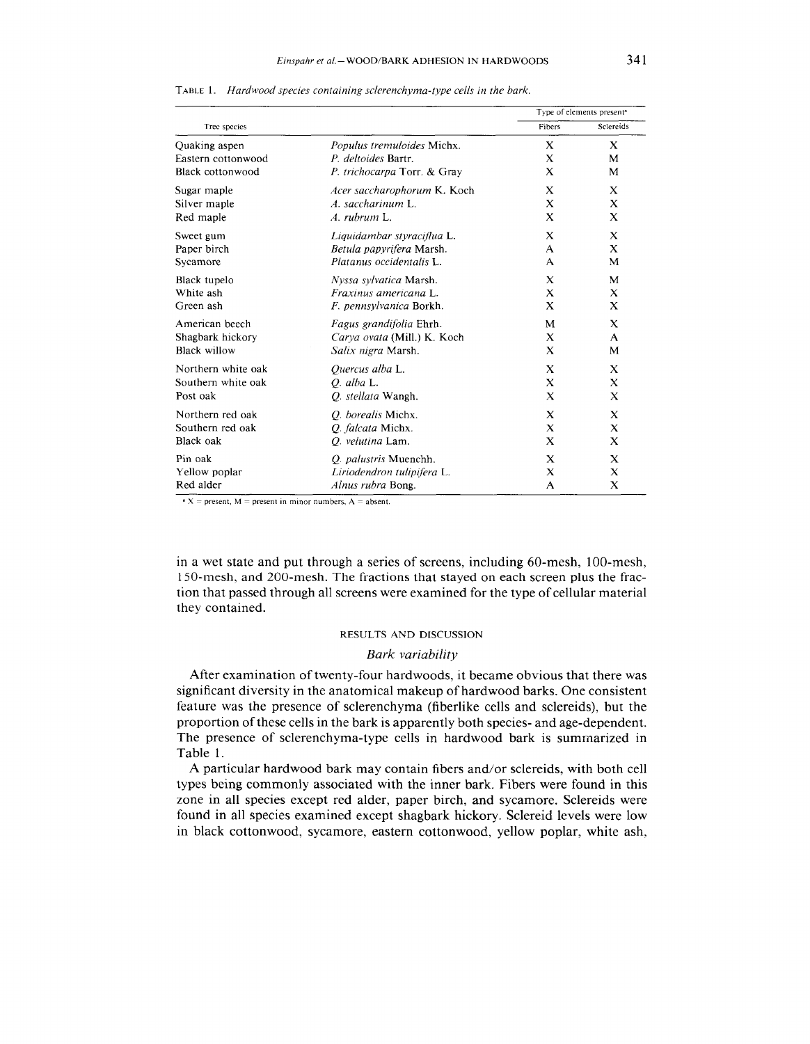|                     |                             |          | Type of elements present <sup>a</sup> |
|---------------------|-----------------------------|----------|---------------------------------------|
| Tree species        |                             | Fibers   | Sclereids                             |
| Quaking aspen       | Populus tremuloides Michx.  | X        | X                                     |
| Eastern cottonwood  | P. deltoides Bartr.         | X        | M                                     |
| Black cottonwood    | P. trichocarpa Torr. & Gray | X        | M                                     |
| Sugar maple         | Acer saccharophorum K. Koch | X        | X                                     |
| Silver maple        | A. saccharinum L.           | X        | X                                     |
| Red maple           | A. rubrum L.                | X        | X                                     |
| Sweet gum           | Liquidambar styraciflua L.  | X        | $\bf{X}$                              |
| Paper birch         | Betula papyrifera Marsh.    | A        | X                                     |
| Sycamore            | Platanus occidentalis L.    | A        | M                                     |
| Black tupelo        | Nyssa sylvatica Marsh.      | X        | M                                     |
| White ash           | Fraxinus americana L.       | X        | X                                     |
| Green ash           | F. pennsylvanica Borkh.     | X        | X                                     |
| American beech      | Fagus grandifolia Ehrh.     | M        | X                                     |
| Shagbark hickory    | Carya ovata (Mill.) K. Koch | X        | A                                     |
| <b>Black willow</b> | Salix nigra Marsh.          | X        | M                                     |
| Northern white oak  | Quercus alba L.             | X        | X                                     |
| Southern white oak  | $O.$ alba L.                | $\bf{X}$ | X                                     |
| Post oak            | O. stellata Wangh.          | X        | X                                     |
| Northern red oak    | O. borealis Michx.          | X        | X                                     |
| Southern red oak    | O. falcata Michx.           | X        | X                                     |
| Black oak           | O. velutina Lam.            | X        | X                                     |
| Pin oak             | Q. palustris Muenchh.       | X        | X                                     |
| Yellow poplar       | Liriodendron tulipifera L.  | X        | X                                     |
| Red alder           | Alnus rubra Bong.           | A        | X                                     |

TABLE 1. *Hardwood species containing sclerenchyma-type cells in the bark.* 

 $\cdot$  **X** = present, M = present in minor numbers, A = absent.

in a wet state and put through a series of screens, including 60-mesh, 100-mesh, 150-mesh, and 200-mesh. The fractions that stayed on each screen plus the fraction that passed through all screens were examined for the type of cellular material they contained.

# RESULTS AND DISCUSSION

# *Bark variability*

After examination of twenty-four hardwoods, it became obvious that there was significant diversity in the anatomical makeup of hardwood barks. One consistent feature was the presence of sclerenchyma (fiberlike cells and sclereids), but the proportion of these cells in the bark is apparently both species- and age-dependent. The presence of sclerenchyma-type cells in hardwood bark is summarized in Table 1.

A particular hardwood bark may contain fibers and/or sclereids, with both cell types being commonly associated with the inner bark. Fibers were found in this zone in all species except red alder, paper birch, and sycamore. Sclereids were found in all species examined except shagbark hickory. Sclereid levels were low in black cottonwood, sycamore, eastern cottonwood, yellow poplar, white ash,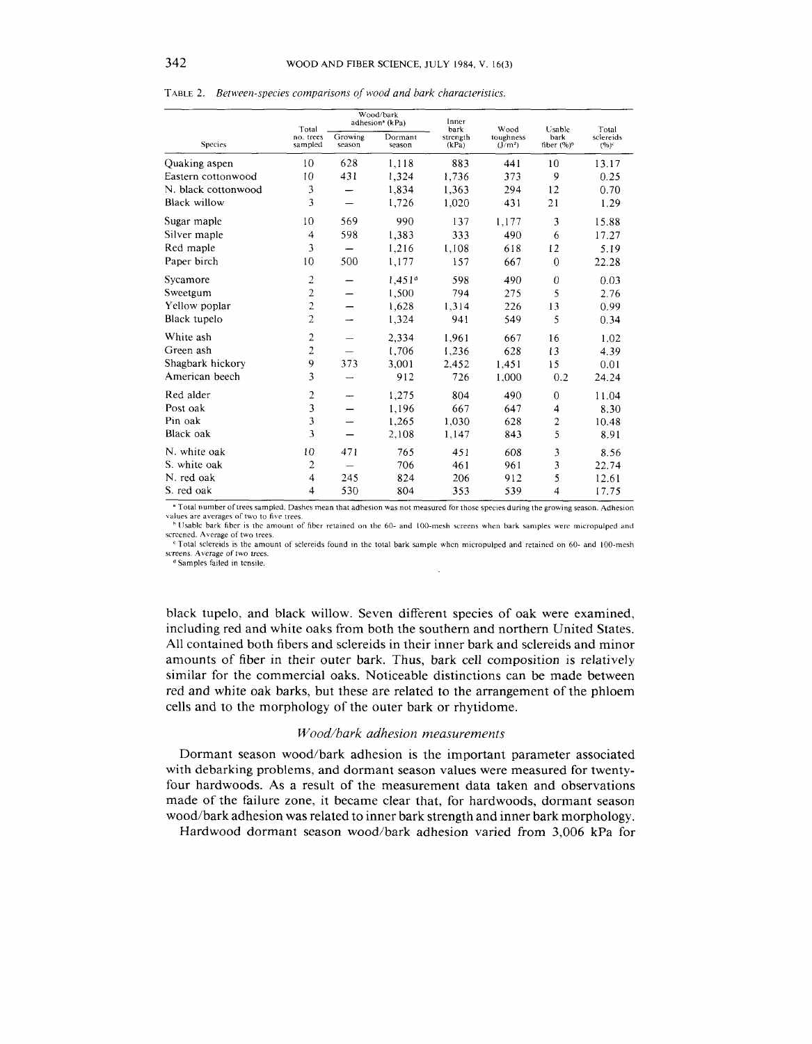|                     | Total                | Wood/bark<br>adhesion <sup>®</sup> (kPa) |                    | Inner<br>bark     | Wood                             | Usable                           | Total                |
|---------------------|----------------------|------------------------------------------|--------------------|-------------------|----------------------------------|----------------------------------|----------------------|
| <b>Species</b>      | no. trees<br>sampled | Growing<br>season                        | Dormant<br>season  | strength<br>(kPa) | toughness<br>(J/m <sup>2</sup> ) | bark<br>fiber $(%)$ <sup>6</sup> | sclereids<br>$(%)^c$ |
| Quaking aspen       | 10                   | 628                                      | 1,118              | 883               | 441                              | 10                               | 13.17                |
| Eastern cottonwood  | 10                   | 431                                      | 1,324              | 1,736             | 373                              | 9                                | 0.25                 |
| N. black cottonwood | 3                    |                                          | 1,834              | 1,363             | 294                              | 12                               | 0.70                 |
| <b>Black willow</b> | 3                    |                                          | 1,726              | 1,020             | 431                              | 21                               | 1.29                 |
| Sugar maple         | 10                   | 569                                      | 990                | 137               | 1,177                            | 3                                | 15.88                |
| Silver maple        | 4                    | 598                                      | 1.383              | 333               | 490                              | 6                                | 17.27                |
| Red maple           | 3                    | -                                        | 1,216              | 1,108             | 618                              | 12                               | 5.19                 |
| Paper birch         | 10                   | 500                                      | 1,177              | 157               | 667                              | $\overline{0}$                   | 22.28                |
| Sycamore            | 2                    |                                          | 1.451 <sup>d</sup> | 598               | 490                              | $\overline{0}$                   | 0.03                 |
| Sweetgum            | $\overline{2}$       |                                          | 1,500              | 794               | 275                              | 5                                | 2.76                 |
| Yellow poplar       | $\overline{c}$       |                                          | 1,628              | 1,314             | 226                              | 13                               | 0.99                 |
| Black tupelo        | $\overline{2}$       |                                          | 1,324              | 941               | 549                              | 5                                | 0.34                 |
| White ash           | $\overline{c}$       |                                          | 2.334              | 1,961             | 667                              | 16                               | 1.02                 |
| Green ash           | 2                    |                                          | 1,706              | 1,236             | 628                              | 13                               | 4.39                 |
| Shagbark hickory    | 9                    | 373                                      | 3,001              | 2,452             | 1,451                            | 15                               | 0.01                 |
| American beech      | 3                    |                                          | 912                | 726               | 1,000                            | 0.2                              | 24.24                |
| Red alder           | $\overline{c}$       | $\overline{\phantom{0}}$                 | 1,275              | 804               | 490                              | $\overline{0}$                   | 11.04                |
| Post oak            | 3                    |                                          | 1,196              | 667               | 647                              | 4                                | 8.30                 |
| Pin oak             | 3                    |                                          | 1.265              | 1,030             | 628                              | 2                                | 10.48                |
| Black oak           | 3                    |                                          | 2,108              | 1,147             | 843                              | 5                                | 8.91                 |
| N. white oak        | 10                   | 471                                      | 765                | 451               | 608                              | 3                                | 8.56                 |
| S. white oak        | $\overline{2}$       |                                          | 706                | 461               | 961                              | 3                                | 22.74                |
| N. red oak          | 4                    | 245                                      | 824                | 206               | 912                              | 5                                | 12.61                |
| S. red oak          | 4                    | 530                                      | 804                | 353               | 539                              | $\overline{4}$                   | 17.75                |

TABLE 2.*Between-species comparisons of wood and bark characteristics* 

<sup>a</sup> Total number of trees sampled. Dashes mean that adhesion was not measured for those species during the growing season. Adhesion values are averages of two to five trees

<sup>h</sup> Usable bark fiber is the amount of fiber retained on the 60- and 100-mesh screens when bark samples were micropulped and screened. Average of two trees.

Total sclereids is the amount of sclereids found in the total bark sample when micropulped and retained on 60- and 100-mesh screens. Average of two trees.

<sup>d</sup> Samples failed in tensile.

black tupelo, and black willow. Seven different species of oak were examined, including red and white oaks from both the southern and northern United States. All contained both fibers and sclereids in their inner bark and sclereids and minor amounts of fiber in their outer bark. Thus, bark cell composition is relatively similar for the commercial oaks. Noticeable distinctions can be made between red and white oak barks, but these are related to the arrangement of the phloem cells and to the morphology of the outer bark or rhytidome.

# *Wood/bark adhesion measurements*

Dormant season wood/bark adhesion is the important parameter associated with debarking problems, and dormant season values were measured for twentyfour hardwoods. As a result of the measurement data taken and observations made of the failure zone, it became clear that, for hardwoods, dormant season wood/bark adhesion was related to inner bark strength and inner bark morphology.

Hardwood dormant season wood/bark adhesion varied from 3,006 kPa for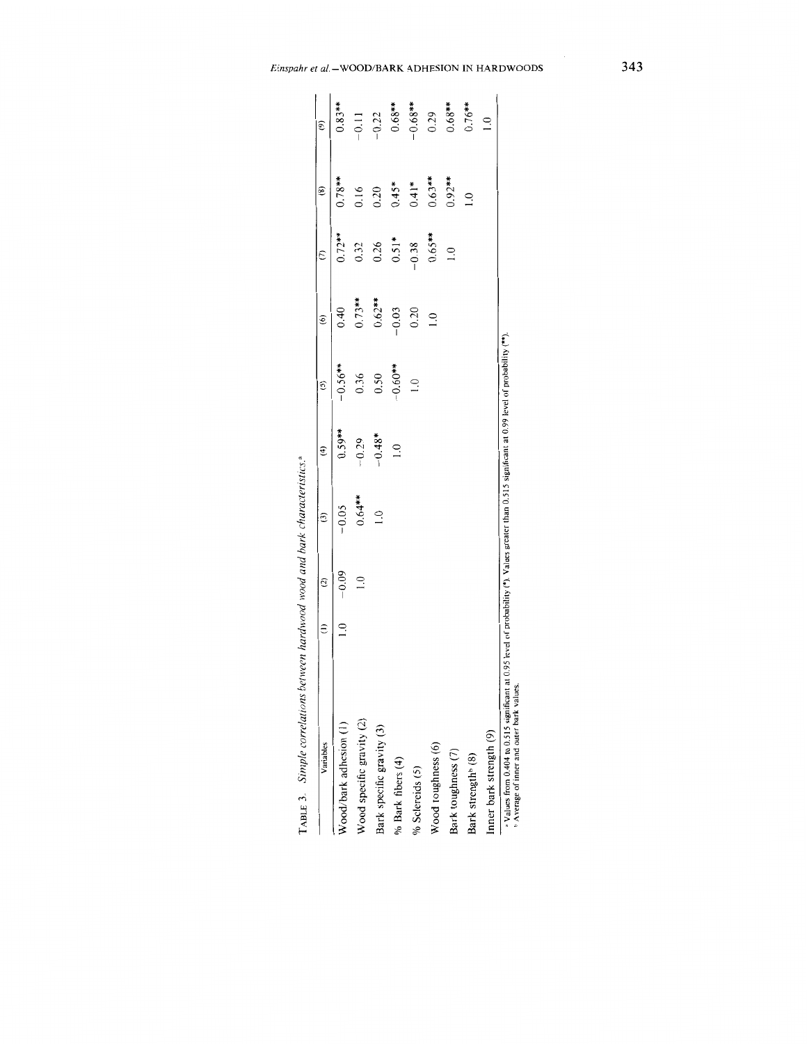| Variables                      | $\widehat{c}$ | $\widehat{c}$ | $\widehat{\mathbf{f}}$ | $\tilde{c}$   | $\widehat{\circ}$ | $\binom{7}{2}$ | $\circled{8}$ | $\circ$       |
|--------------------------------|---------------|---------------|------------------------|---------------|-------------------|----------------|---------------|---------------|
| Wood/bark adhesion (1)         | $-0.09$       | $-0.05$       | $0.59***$              | $-0.56**$     | 0.40              | $0.72***$      | $0.78**$      | $0.83***$     |
| Wood specific gravity (2)      | $\frac{1}{2}$ | $0.64***$     | $-0.29$                | 0.36          | $0.73***$         | 0.32           | 0.16          | $-0.11$       |
| Bark specific gravity (3)      |               | $\supseteq$   | $-0.48*$               | 0.50          | $0.62***$         | 0.26           | 0.20          | $-0.22$       |
| % Bark fibers (4)              |               |               | $\frac{1}{2}$          | $-0.60**$     | $-0.03$           | $0.51*$        | $0.45*$       | $0.68***$     |
| % Sclereids (5)                |               |               |                        | $\frac{1}{2}$ | 0.20              | $-0.38$        | $0.41*$       | $-0.68***$    |
| Wood toughness (6)             |               |               |                        |               | $\overline{0}$    | $0.65***$      | $0.63***$     | 0.29          |
| Bark toughness (7)             |               |               |                        |               |                   | $\supseteq$    | $0.92***$     | $0.68***$     |
| Bark strength <sup>6</sup> (8) |               |               |                        |               |                   |                | $\frac{1}{2}$ | $0.76***$     |
| Inner bark strength (9)        |               |               |                        |               |                   |                |               | $\frac{1}{2}$ |

TABLE 3. Simple correlations between hardwood wood and bark characteristics.<sup>8</sup>

• Values from 0.404 to 0.515 significant at 0.95 level of probability (\*). Values greater than 0.515 significant at 0.99 level of probability (\*\*).<br>• Average of inner and outer bark values.

**Einspahr** *et* **a1.-WOOD/BARK ADHESION IN HARDWOODS** 

343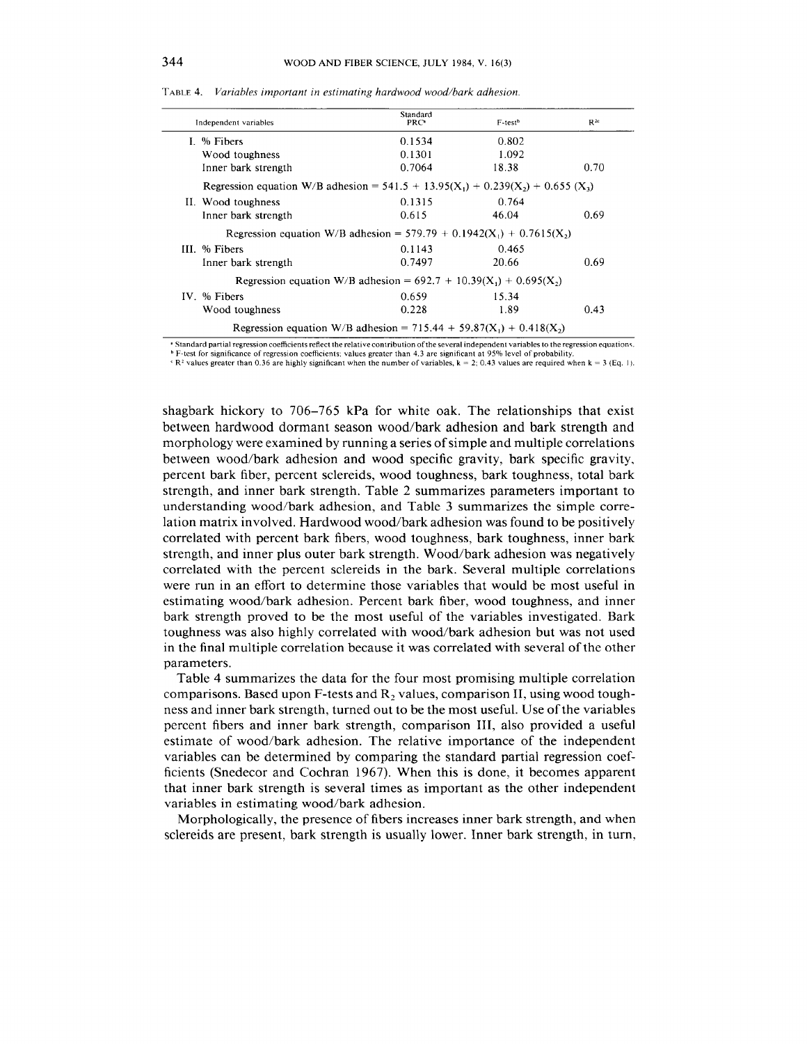| Independent variables                                                                       | Standard<br>PRC <sup>®</sup> | F-test <sup>b</sup> | $R^{2c}$ |
|---------------------------------------------------------------------------------------------|------------------------------|---------------------|----------|
| I. $%$ Fibers                                                                               | 0.1534                       | 0.802               |          |
| Wood toughness                                                                              | 0.1301                       | 1.092               |          |
| Inner bark strength                                                                         | 0.7064                       | 18.38               | 0.70     |
| Regression equation W/B adhesion = $541.5 + 13.95(X_1) + 0.239(X_2) + 0.655(X_3)$           |                              |                     |          |
| II. Wood toughness                                                                          | 0.1315                       | 0.764               |          |
| Inner bark strength                                                                         | 0.615                        | 46.04               | 0.69     |
| Regression equation W/B adhesion = $579.79 + 0.1942(X_1) + 0.7615(X_2)$                     |                              |                     |          |
| III. % Fibers                                                                               | 0.1143                       | 0.465               |          |
| Inner bark strength                                                                         | 0.7497                       | 20.66               | 0.69     |
| Regression equation W/B adhesion = $692.7 + 10.39(X_1) + 0.695(X_2)$                        |                              |                     |          |
| IV. % Fibers                                                                                | 0.659                        | 15.34               |          |
| Wood toughness                                                                              | 0.228                        | 1.89                | 0.43     |
| Regression equation W/B adhesion = 715.44 + 59.87(X <sub>1</sub> ) + 0.418(X <sub>2</sub> ) |                              |                     |          |

TABLE 4.*Variables important in estimating hardwood wood/bark adhesion.* 

" Standard partial regression coefficients reflect the relative contribution of the several independent variables to the regression equations.

 $F$ -test for significance of regression coefficients: values greater than 4.3 are significant at 95% level of probability

R<sup>2</sup> values greater than 0.36 are highly significant when the number of variables, k = 2; 0.43 values are required when k = 3 (Eq. 1).

shagbark hickory to 706-765 kPa for white oak. The relationships that exist between hardwood dormant season wood/bark adhesion and bark strength and morphology were examined by running a series of simple and multiple correlations between wood/bark adhesion and wood specific gravity, bark specific gravity, percent bark fiber, percent sclereids, wood toughness, bark toughness, total bark strength, and inner bark strength. Table 2 summarizes parameters important to understanding wood/bark adhesion, and Table 3 summarizes the simple correlation matrix involved. Hardwood wood/bark adhesion was found to be positively correlated with percent bark fibers, wood toughness, bark toughness, inner bark strength, and inner plus outer bark strength. Wood/bark adhesion was negatively correlated with the percent sclereids in the bark. Several multiple correlations were run in an effort to determine those variables that would be most useful in estimating wood/bark adhesion. Percent bark fiber, wood toughness, and inner bark strength proved to be the most useful of the variables investigated. Bark toughness was also highly correlated with wood/bark adhesion but was not used in the final multiple correlation because it was correlated with several of the other parameters.

Table 4 summarizes the data for the four most promising multiple correlation comparisons. Based upon F-tests and  $R_2$  values, comparison II, using wood toughness and inner bark strength, turned out to be the most useful. Use of the variables percent fibers and inner bark strength, comparison 111, also provided a useful estimate of wood/bark adhesion. The relative importance of the independent variables can be determined by comparing the standard partial regression coefficients (Snedecor and Cochran 1967). When this is done, it becomes apparent that inner bark strength is several times as important as the other independent variables in estimating wood/bark adhesion.

Morphologically, the presence of fibers increases inner bark strength, and when sclereids are present, bark strength is usually lower. Inner bark strength, in turn,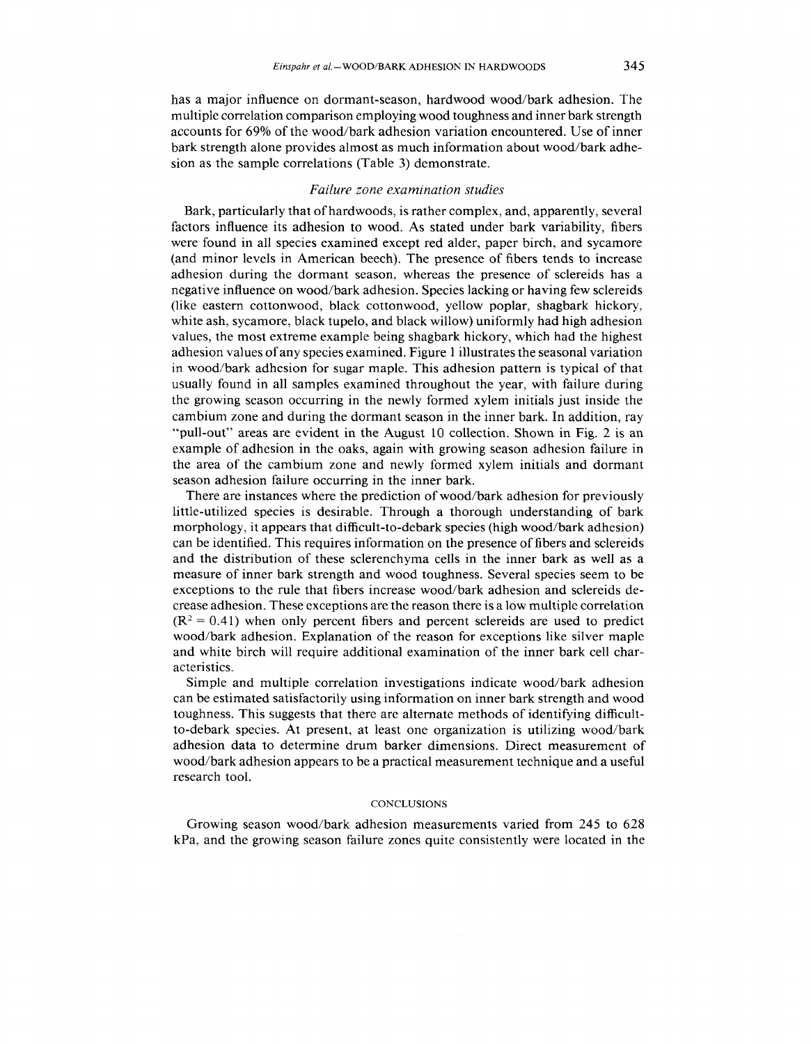has a major influence on dormant-season, hardwood wood/bark adhesion. The multiple correlation comparison employing wood toughness and inner bark strength accounts for **69%** of the wood/bark adhesion variation encountered. Use of inner bark strength alone provides almost as much information about wood/bark adhesion as the sample correlations (Table **3)** demonstrate.

# *Failure zone examination studies*

Bark, particularly that of hardwoods, is rather complex, and, apparently, several factors influence its adhesion to wood. As stated under bark variability, fibers were found in all species examined except red alder, paper birch, and sycamore (and minor levels in American beech). The presence of fibers tends to increase adhesion during the dormant season, whereas the presence of sclereids has a negative influence on wood/bark adhesion. Species lacking or having few sclereids (like eastern cottonwood, black cottonwood, yellow poplar, shagbark hickory, white ash, sycamore, black tupelo, and black willow) uniformly had high adhesion values, the most extreme example being shagbark hickory, which had the highest adhesion values of any species examined. Figure 1 illustrates the seasonal variation in wood/bark adhesion for sugar maple. This adhesion pattern is typical of that usually found in all samples examined throughout the year, with failure during the growing season occurring in the newly formed xylem initials just inside the cambium zone and during the dormant season in the inner bark. In addition, ray "pull-out" areas are evident in the August 10 collection. Shown in Fig. 2 is an example of adhesion in the oaks, again with growing season adhesion failure in the area of the cambium zone and newly formed xylem initials and dormant season adhesion failure occurring in the inner bark.

There are instances where the prediction of wood/bark adhesion for previously little-utilized species is desirable. Through a thorough understanding of bark morphology, it appears that difficult-to-debark species (high wood/bark adhesion) can be identified. This requires information on the presence of fibers and sclereids and the distribution of these sclerenchyma cells in the inner bark as well as a measure of inner bark strength and wood toughness. Several species seem to be exceptions to the rule that fibers increase wood/bark adhesion and sclereids decrease adhesion. These exceptions are the reason there is a low multiple correlation  $(R<sup>2</sup> = 0.41)$  when only percent fibers and percent sclereids are used to predict wood/bark adhesion. Explanation of the reason for exceptions like silver maple and white birch will require additional examination of the inner bark cell characteristics.

Simple and multiple correlation investigations indicate wood/bark adhesion can be estimated satisfactorily using information on inner bark strength and wood toughness. This suggests that there are alternate methods of identifying difficultto-debark species. At present, at least one organization is utilizing wood/bark adhesion data to determine drum barker dimensions. Direct measurement of wood/bark adhesion appears to be a practical measurement technique and a useful research tool.

#### **CONCLUSIONS**

Growing season wood/bark adhesion measurements varied from 245 to 628 kPa, and the growing season failure zones quite consistently were located in the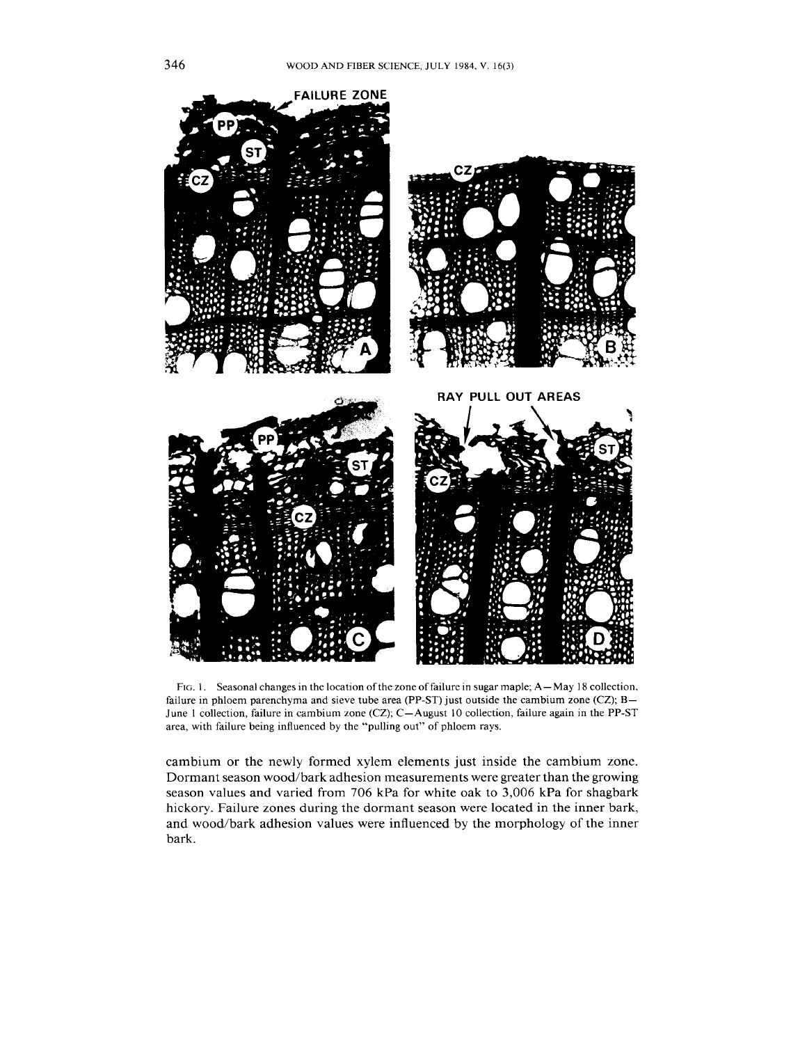

FIG. 1. Seasonal changes in the location of the zone of failure in sugar maple; A-May 18 collection, failure in phloem parenchyma and sieve tube area (PP-ST) just outside the cambium zone (CZ);  $B-$ June 1 collection, failure in cambium zone (CZ); C-August 10 collection, failure again in the PP-ST area, with failure being influenced by the "pulling out" of phloem rays.

cambium or the newly formed xylem elements just inside the cambium zone. Dormant season wood/bark adhesion measurements were greater than the growing season values and varied from 706 kPa for white oak to 3,006 kPa for shagbark hickory. Failure zones during the dormant season were located in the inner bark, and wood/bark adhesion values were influenced by the morphology of the inner bark.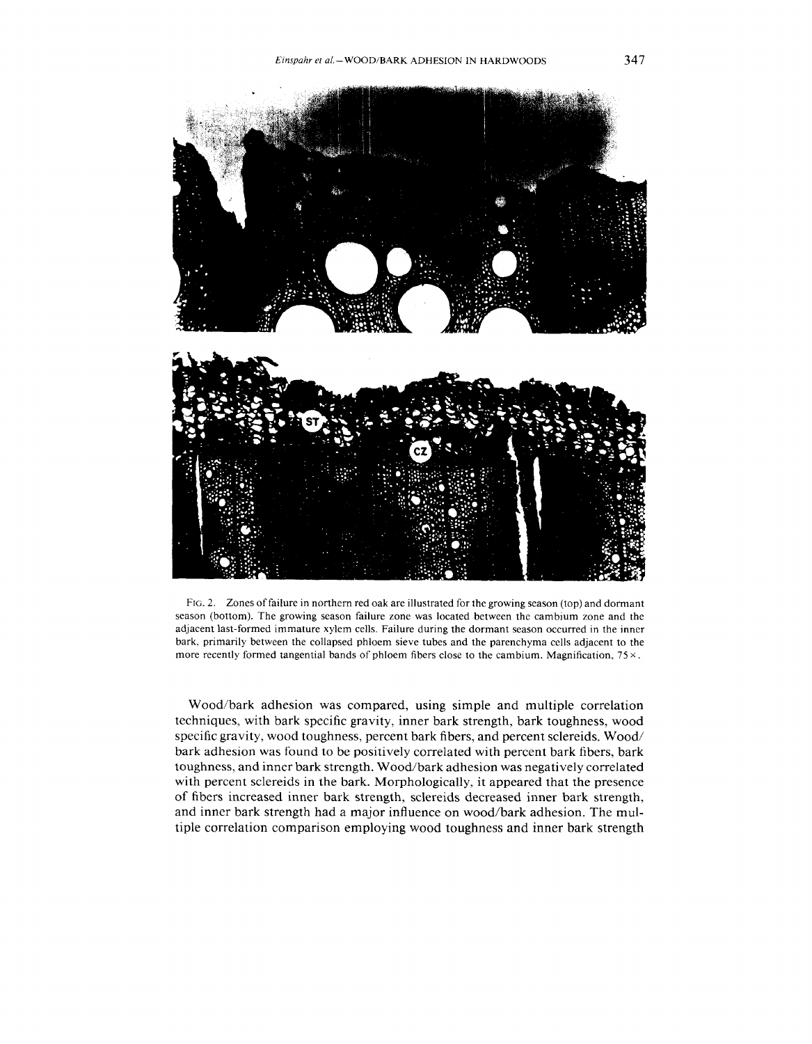

FIG. 2. Zones of failure in northern red oak are illustrated for the growing season (top) and dormant season (bottom). The growing season failure zone was located between the cambium zone and the adjacent last-formed immature xylem cells. Failure during the dormant season occurred in the inner bark, primarily between the collapsed phloem sieve tubes and the parenchyma cells adjacent to the more recently formed tangential bands of phloem fibers close to the cambium. Magnification,  $75 \times$ .

Wood/bark adhesion was compared, using simple and multiple correlation techniques, with bark specific gravity, inner bark strength, bark toughness, wood specific gravity, wood toughness, percent bark fibers, and percent sclereids. Wood/ bark adhesion was found to be positively correlated with percent bark fibers, bark toughness, and inner bark strength. Wood/bark adhesion was negatively correlated with percent sclereids in the bark. Morphologically, it appeared that the presence of fibers increased inner bark strength, sclereids decreased inner bark strength, and inner bark strength had a major influence on wood/bark adhesion. The multiple correlation comparison employing wood toughness and inner bark strength